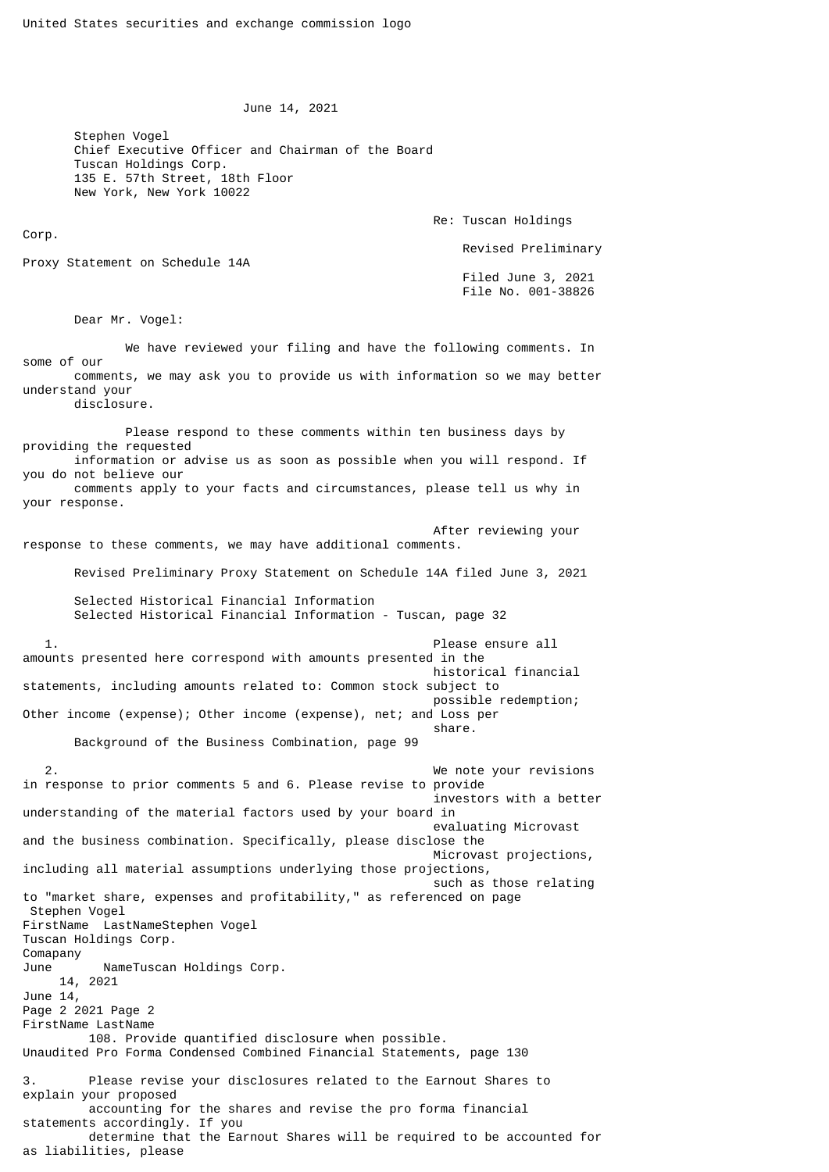June 14, 2021

Stephen Vogel Chief Executive Officer and Chairman of the Board Tuscan Holdings Corp. 135 E. 57th Street, 18th Floor New York, New York 10022

Re: Tuscan Holdings

Proxy Statement on Schedule 14A

 Filed June 3, 2021 File No. 001-38826

Revised Preliminary

Dear Mr. Vogel:

as liabilities, please

Corp.

 We have reviewed your filing and have the following comments. In some of our comments, we may ask you to provide us with information so we may better understand your disclosure.

 Please respond to these comments within ten business days by providing the requested information or advise us as soon as possible when you will respond. If you do not believe our comments apply to your facts and circumstances, please tell us why in your response.

 After reviewing your response to these comments, we may have additional comments.

Revised Preliminary Proxy Statement on Schedule 14A filed June 3, 2021

 Selected Historical Financial Information Selected Historical Financial Information - Tuscan, page 32

 1. Please ensure all amounts presented here correspond with amounts presented in the historical financial statements, including amounts related to: Common stock subject to possible redemption; Other income (expense); Other income (expense), net; and Loss per  $s$ hare. In the contract of the contract of the contract of the contract of the contract of the contract of the contract of the contract of the contract of the contract of the contract of the contract of the contract of t

Background of the Business Combination, page 99

 2. We note your revisions in response to prior comments 5 and 6. Please revise to provide investors with a better understanding of the material factors used by your board in evaluating Microvast and the business combination. Specifically, please disclose the Microvast projections, including all material assumptions underlying those projections, such as those relating to "market share, expenses and profitability," as referenced on page Stephen Vogel FirstName LastNameStephen Vogel Tuscan Holdings Corp. Comapany June NameTuscan Holdings Corp. 14, 2021 June 14, Page 2 2021 Page 2 FirstName LastName 108. Provide quantified disclosure when possible. Unaudited Pro Forma Condensed Combined Financial Statements, page 130 3. Please revise your disclosures related to the Earnout Shares to explain your proposed accounting for the shares and revise the pro forma financial statements accordingly. If you determine that the Earnout Shares will be required to be accounted for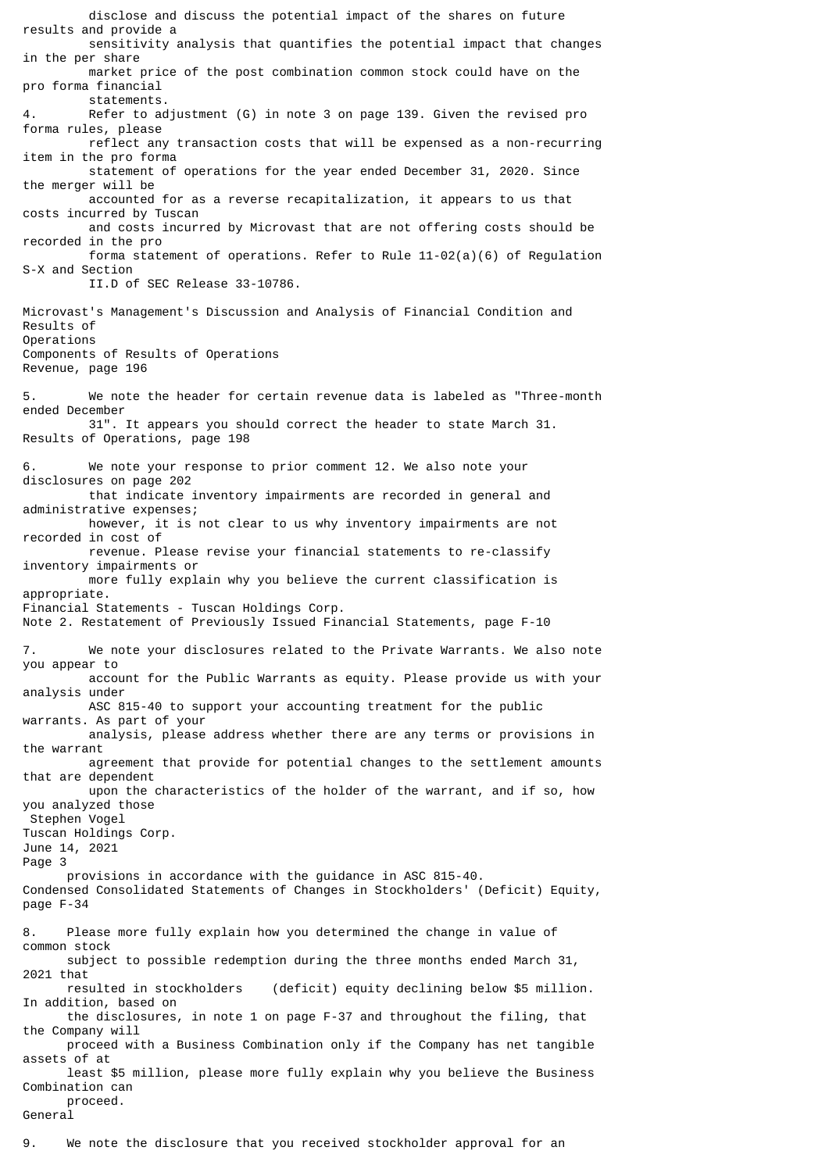disclose and discuss the potential impact of the shares on future results and provide a sensitivity analysis that quantifies the potential impact that changes in the per share market price of the post combination common stock could have on the pro forma financial statements. 4. Refer to adjustment (G) in note 3 on page 139. Given the revised pro forma rules, please reflect any transaction costs that will be expensed as a non-recurring item in the pro forma statement of operations for the year ended December 31, 2020. Since the merger will be accounted for as a reverse recapitalization, it appears to us that costs incurred by Tuscan and costs incurred by Microvast that are not offering costs should be recorded in the pro forma statement of operations. Refer to Rule 11-02(a)(6) of Regulation S-X and Section II.D of SEC Release 33-10786. Microvast's Management's Discussion and Analysis of Financial Condition and Results of Operations Components of Results of Operations Revenue, page 196 5. We note the header for certain revenue data is labeled as "Three-month ended December 31". It appears you should correct the header to state March 31. Results of Operations, page 198 6. We note your response to prior comment 12. We also note your disclosures on page 202 that indicate inventory impairments are recorded in general and administrative expenses; however, it is not clear to us why inventory impairments are not recorded in cost of revenue. Please revise your financial statements to re-classify inventory impairments or more fully explain why you believe the current classification is appropriate. Financial Statements - Tuscan Holdings Corp. Note 2. Restatement of Previously Issued Financial Statements, page F-10 7. We note your disclosures related to the Private Warrants. We also note you appear to account for the Public Warrants as equity. Please provide us with your analysis under ASC 815-40 to support your accounting treatment for the public warrants. As part of your analysis, please address whether there are any terms or provisions in the warrant agreement that provide for potential changes to the settlement amounts that are dependent upon the characteristics of the holder of the warrant, and if so, how you analyzed those Stephen Vogel Tuscan Holdings Corp. June 14, 2021 Page 3 provisions in accordance with the guidance in ASC 815-40. Condensed Consolidated Statements of Changes in Stockholders' (Deficit) Equity, page F-34 8. Please more fully explain how you determined the change in value of common stock subject to possible redemption during the three months ended March 31, 2021 that resulted in stockholders (deficit) equity declining below \$5 million. In addition, based on the disclosures, in note 1 on page F-37 and throughout the filing, that the Company will proceed with a Business Combination only if the Company has net tangible assets of at least \$5 million, please more fully explain why you believe the Business Combination can proceed. General